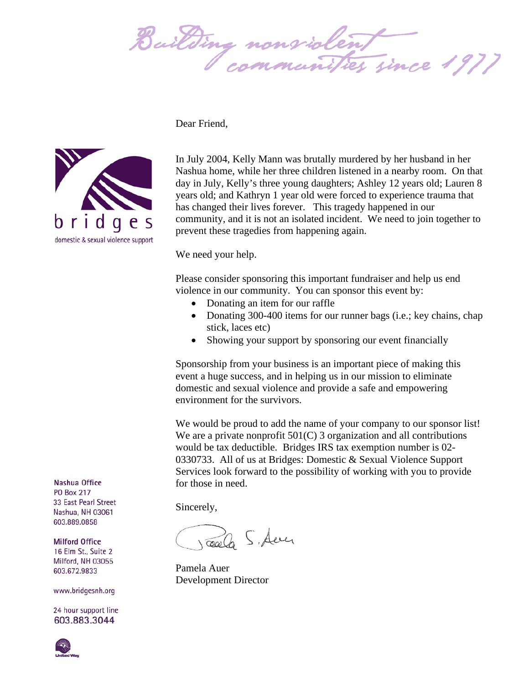Bailding nonsiolent



Dear Friend,

In July 2004, Kelly Mann was brutally murdered by her husband in her Nashua home, while her three children listened in a nearby room. On that day in July, Kelly's three young daughters; Ashley 12 years old; Lauren 8 years old; and Kathryn 1 year old were forced to experience trauma that has changed their lives forever. This tragedy happened in our community, and it is not an isolated incident. We need to join together to prevent these tragedies from happening again.

We need your help.

Please consider sponsoring this important fundraiser and help us end violence in our community. You can sponsor this event by:

- Donating an item for our raffle
- Donating 300-400 items for our runner bags (i.e.; key chains, chap stick, laces etc)
- Showing your support by sponsoring our event financially

Sponsorship from your business is an important piece of making this event a huge success, and in helping us in our mission to eliminate domestic and sexual violence and provide a safe and empowering environment for the survivors.

We would be proud to add the name of your company to our sponsor list! We are a private nonprofit 501(C) 3 organization and all contributions would be tax deductible. Bridges IRS tax exemption number is 02- 0330733. All of us at Bridges: Domestic & Sexual Violence Support Services look forward to the possibility of working with you to provide for those in need.

Sincerely,

Calle S. Auer

Pamela Auer Development Director

Nashua Office **PO Box 217** 33 East Pearl Street Nashua, NH 03061 603.889.0858

**Milford Office** 16 Elm St., Suite 2 Milford, NH 03055 603.672.9833

www.bridgesnh.org

24 hour support line 603.883.3044

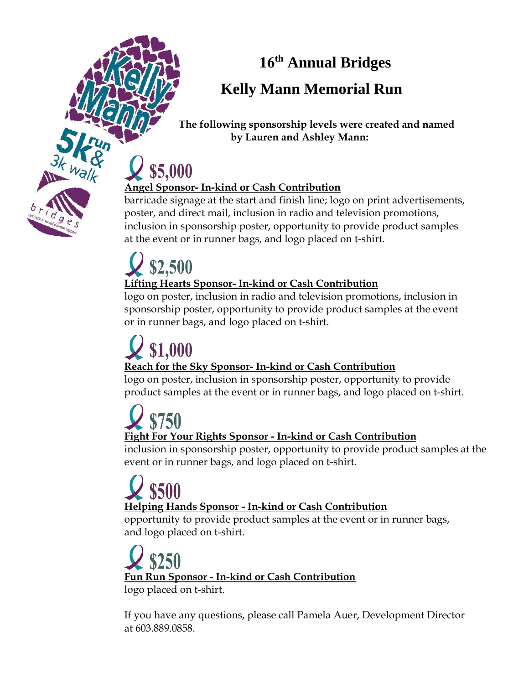**16 th Annual Bridges** 

### **Kelly Mann Memorial Run**

 **The following sponsorship levels were created and named by Lauren and Ashley Mann:**

# \$5,000

#### **Angel Sponsor- In-kind or Cash Contribution**

barricade signage at the start and finish line; logo on print advertisements, poster, and direct mail, inclusion in radio and television promotions, inclusion in sponsorship poster, opportunity to provide product samples at the event or in runner bags, and logo placed on t-shirt.

## \$2,500 **Lifting Hearts Sponsor- In-kind or Cash Contribution**

logo on poster, inclusion in radio and television promotions, inclusion in sponsorship poster, opportunity to provide product samples at the event or in runner bags, and logo placed on t-shirt.

### \$1,000 **Reach for the Sky Sponsor- In-kind or Cash Contribution**

logo on poster, inclusion in sponsorship poster, opportunity to provide product samples at the event or in runner bags, and logo placed on t-shirt.

#### \$750 **Fight For Your Rights Sponsor - In-kind or Cash Contribution**

inclusion in sponsorship poster, opportunity to provide product samples at the event or in runner bags, and logo placed on t-shirt.

## \$500 **Helping Hands Sponsor - In-kind or Cash Contribution**

opportunity to provide product samples at the event or in runner bags, and logo placed on t-shirt.

**Fun Run Sponsor - In-kind or Cash Contribution** logo placed on t-shirt.

If you have any questions, please call Pamela Auer, Development Director at 603.889.0858.